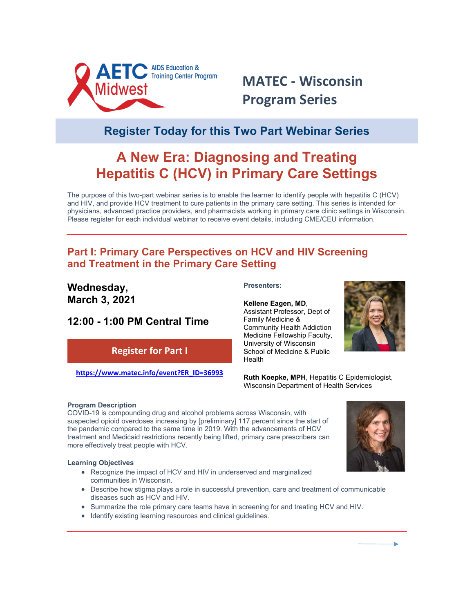

# **MATEC - Wisconsin Program Series**

## **Register Today for this Two Part Webinar Series**

## **A New Era: Diagnosing and Treating Hepatitis C (HCV) in Primary Care Settings**

The purpose of this two-part webinar series is to enable the learner to identify people with hepatitis C (HCV) and HIV, and provide HCV treatment to cure patients in the primary care setting. This series is intended for physicians, advanced practice providers, and pharmacists working in primary care clinic settings in Wisconsin. Please register for each individual webinar to receive event details, including CME/CEU information.

### **Part I: Primary Care Perspectives on [HCV and HIV Screening](http://r20.rs6.net/tn.jsp?f=001_JT4mVxGSFsoToAdD8RfFeWSJB_8-rkkiQdnZzNzwTQbs4B-61BPLOs6m3st2XGArCxDViDl2HGsbkInFdhBU9UwrZJS6urLu3fmxk2VHqSPs56Xfxs-SOqXg-2L_TFLsWoH1at-mvPwcNEgim28kxDzDspMOz_mGbZjDXOrVTtpQSDcWH8QrqvWTeDFb8vdKtzZbFJYvyc=&c=-pVxNpf-a6gBGX1Z2Hrjq4SkzJJYJG3eY5VbUKprs5VtA1uHgCQFvA==&ch=b_lkPMMcoynwna68zKfJkb3uxghn480KytU2HFPHc4Hk2B9Y8xlg8g==)  [and Treatment in the Primary Care Setting](http://r20.rs6.net/tn.jsp?f=001_JT4mVxGSFsoToAdD8RfFeWSJB_8-rkkiQdnZzNzwTQbs4B-61BPLOs6m3st2XGArCxDViDl2HGsbkInFdhBU9UwrZJS6urLu3fmxk2VHqSPs56Xfxs-SOqXg-2L_TFLsWoH1at-mvPwcNEgim28kxDzDspMOz_mGbZjDXOrVTtpQSDcWH8QrqvWTeDFb8vdKtzZbFJYvyc=&c=-pVxNpf-a6gBGX1Z2Hrjq4SkzJJYJG3eY5VbUKprs5VtA1uHgCQFvA==&ch=b_lkPMMcoynwna68zKfJkb3uxghn480KytU2HFPHc4Hk2B9Y8xlg8g==)**

### **Wednesday, March 3, 2021**

### **12:00 - 1:00 PM Central Time**

### **Register for Part I**

**[https://www.matec.info/event?ER\\_ID=36993](https://www.matec.info/event?ER_ID=36993)**

#### **Presenters:**

#### **Kellene Eagen, MD**,

Assistant Professor, Dept of Family Medicine & Community Health Addiction Medicine Fellowship Faculty, University of Wisconsin School of Medicine & Public Health



**Ruth Koepke, MPH**, Hepatitis C Epidemiologist, Wisconsin Department of Health Services

#### **Program Description**

COVID-19 is compounding drug and alcohol problems across Wisconsin, with suspected opioid overdoses increasing by [preliminary] 117 percent since the start of the pandemic compared to the same time in 2019. With the advancements of HCV treatment and Medicaid restrictions recently being lifted, primary care prescribers can more effectively treat people with HCV.

#### **Learning Objectives**

- Recognize the impact of HCV and HIV in underserved and marginalized communities in Wisconsin.
- Describe how stigma plays a role in successful prevention, care and treatment of communicable diseases such as HCV and HIV.
- Summarize the role primary care teams have in screening for and treating HCV and HIV.
- Identify existing learning resources and clinical guidelines.